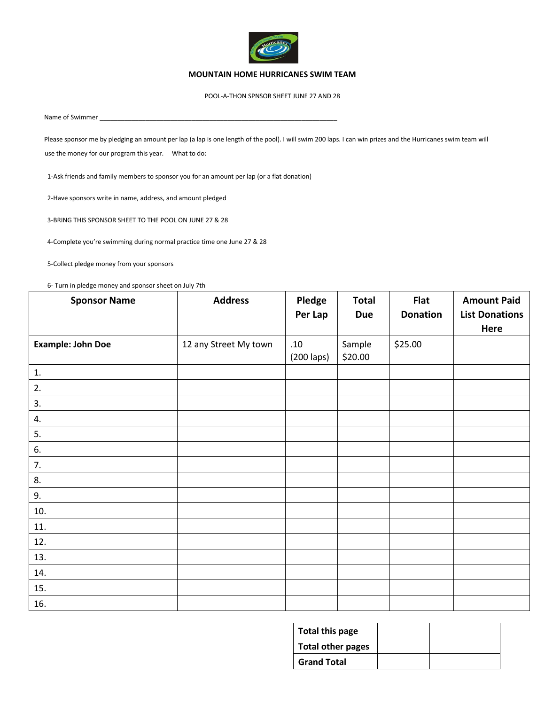

## **MOUNTAIN HOME HURRICANES SWIM TEAM**

POOL-A-THON SPNSOR SHEET JUNE 27 AND 28

Name of Swimmer

Please sponsor me by pledging an amount per lap (a lap is one length of the pool). I will swim 200 laps. I can win prizes and the Hurricanes swim team will use the money for our program this year. What to do:

1-Ask friends and family members to sponsor you for an amount per lap (or a flat donation)

2-Have sponsors write in name, address, and amount pledged

3-BRING THIS SPONSOR SHEET TO THE POOL ON JUNE 27 & 28

4-Complete you're swimming during normal practice time one June 27 & 28

5-Collect pledge money from your sponsors

6- Turn in pledge money and sponsor sheet on July 7th

| <b>Sponsor Name</b>      | <b>Address</b>        | Pledge<br>Per Lap | <b>Total</b><br><b>Due</b> | Flat<br><b>Donation</b> | <b>Amount Paid</b><br><b>List Donations</b><br>Here |
|--------------------------|-----------------------|-------------------|----------------------------|-------------------------|-----------------------------------------------------|
| <b>Example: John Doe</b> | 12 any Street My town | .10<br>(200 laps) | Sample<br>\$20.00          | \$25.00                 |                                                     |
| 1.                       |                       |                   |                            |                         |                                                     |
| 2.                       |                       |                   |                            |                         |                                                     |
| 3.                       |                       |                   |                            |                         |                                                     |
| 4.                       |                       |                   |                            |                         |                                                     |
| 5.                       |                       |                   |                            |                         |                                                     |
| 6.                       |                       |                   |                            |                         |                                                     |
| 7.                       |                       |                   |                            |                         |                                                     |
| 8.                       |                       |                   |                            |                         |                                                     |
| 9.                       |                       |                   |                            |                         |                                                     |
| 10.                      |                       |                   |                            |                         |                                                     |
| 11.                      |                       |                   |                            |                         |                                                     |
| 12.                      |                       |                   |                            |                         |                                                     |
| 13.                      |                       |                   |                            |                         |                                                     |
| 14.                      |                       |                   |                            |                         |                                                     |
| 15.                      |                       |                   |                            |                         |                                                     |
| 16.                      |                       |                   |                            |                         |                                                     |

| Total this page    |  |
|--------------------|--|
| Total other pages  |  |
| <b>Grand Total</b> |  |